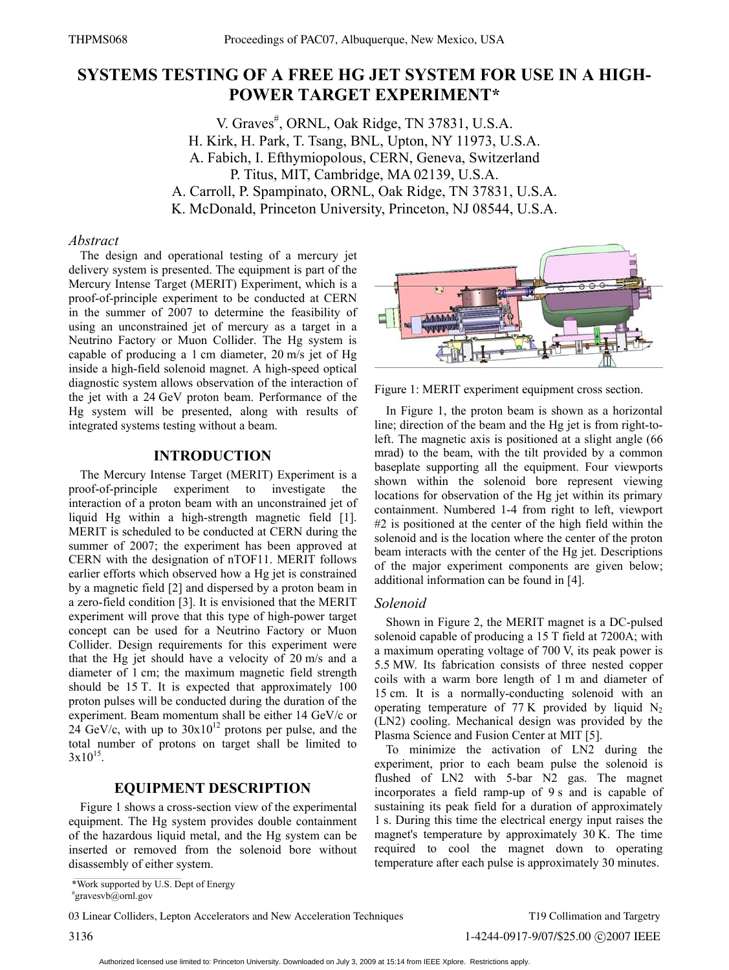# **SYSTEMS TESTING OF A FREE HG JET SYSTEM FOR USE IN A HIGH-POWER TARGET EXPERIMENT\***

V. Graves<sup>#</sup>, ORNL, Oak Ridge, TN 37831, U.S.A. H. Kirk, H. Park, T. Tsang, BNL, Upton, NY 11973, U.S.A. A. Fabich, I. Efthymiopolous, CERN, Geneva, Switzerland P. Titus, MIT, Cambridge, MA 02139, U.S.A. A. Carroll, P. Spampinato, ORNL, Oak Ridge, TN 37831, U.S.A. K. McDonald, Princeton University, Princeton, NJ 08544, U.S.A.

#### *Abstract*

The design and operational testing of a mercury jet delivery system is presented. The equipment is part of the Mercury Intense Target (MERIT) Experiment, which is a proof-of-principle experiment to be conducted at CERN in the summer of 2007 to determine the feasibility of using an unconstrained jet of mercury as a target in a Neutrino Factory or Muon Collider. The Hg system is capable of producing a 1 cm diameter, 20 m/s jet of Hg inside a high-field solenoid magnet. A high-speed optical diagnostic system allows observation of the interaction of the jet with a 24 GeV proton beam. Performance of the Hg system will be presented, along with results of integrated systems testing without a beam.

## **INTRODUCTION**

The Mercury Intense Target (MERIT) Experiment is a proof-of-principle experiment to investigate the interaction of a proton beam with an unconstrained jet of liquid Hg within a high-strength magnetic field [1]. MERIT is scheduled to be conducted at CERN during the summer of 2007; the experiment has been approved at CERN with the designation of nTOF11. MERIT follows earlier efforts which observed how a Hg jet is constrained by a magnetic field [2] and dispersed by a proton beam in a zero-field condition [3]. It is envisioned that the MERIT experiment will prove that this type of high-power target concept can be used for a Neutrino Factory or Muon Collider. Design requirements for this experiment were that the Hg jet should have a velocity of 20 m/s and a diameter of 1 cm; the maximum magnetic field strength should be 15 T. It is expected that approximately 100 proton pulses will be conducted during the duration of the experiment. Beam momentum shall be either 14 GeV/c or  $24$  GeV/c, with up to  $30x10^{12}$  protons per pulse, and the total number of protons on target shall be limited to  $3x10^{15}$ .

## **EQUIPMENT DESCRIPTION**

Figure 1 shows a cross-section view of the experimental equipment. The Hg system provides double containment of the hazardous liquid metal, and the Hg system can be inserted or removed from the solenoid bore without disassembly of either system.



Figure 1: MERIT experiment equipment cross section.

In Figure 1, the proton beam is shown as a horizontal line; direction of the beam and the Hg jet is from right-toleft. The magnetic axis is positioned at a slight angle (66 mrad) to the beam, with the tilt provided by a common baseplate supporting all the equipment. Four viewports shown within the solenoid bore represent viewing locations for observation of the Hg jet within its primary containment. Numbered 1-4 from right to left, viewport #2 is positioned at the center of the high field within the solenoid and is the location where the center of the proton beam interacts with the center of the Hg jet. Descriptions of the major experiment components are given below; additional information can be found in [4].

#### *Solenoid*

Shown in Figure 2, the MERIT magnet is a DC-pulsed solenoid capable of producing a 15 T field at 7200A; with a maximum operating voltage of 700 V, its peak power is 5.5 MW. Its fabrication consists of three nested copper coils with a warm bore length of 1 m and diameter of 15 cm. It is a normally-conducting solenoid with an operating temperature of  $77 K$  provided by liquid N<sub>2</sub> (LN2) cooling. Mechanical design was provided by the Plasma Science and Fusion Center at MIT [5].

To minimize the activation of LN2 during the experiment, prior to each beam pulse the solenoid is flushed of LN2 with 5-bar N2 gas. The magnet incorporates a field ramp-up of 9 s and is capable of sustaining its peak field for a duration of approximately 1 s. During this time the electrical energy input raises the magnet's temperature by approximately 30 K. The time required to cool the magnet down to operating temperature after each pulse is approximately 30 minutes.

<sup>\*</sup>Work supported by U.S. Dept of Energy

<sup>#</sup> gravesvb@ornl.gov

<sup>03</sup> Linear Colliders, Lepton Accelerators and New Acceleration Techniques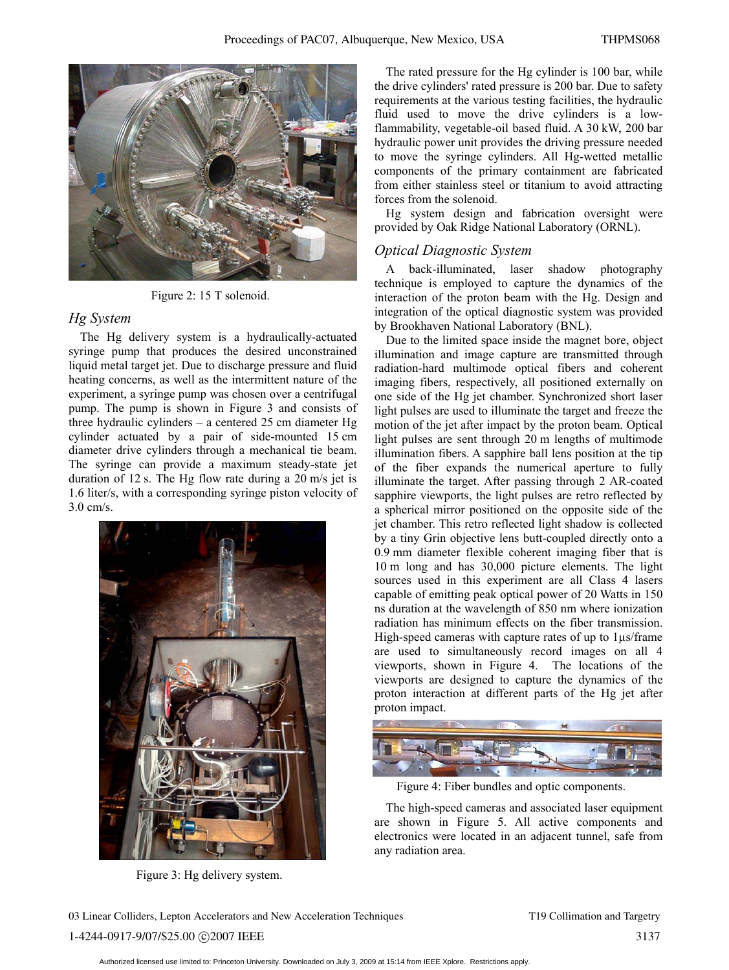

Figure 2: 15 T solenoid.

## *Hg System*

The Hg delivery system is a hydraulically-actuated syringe pump that produces the desired unconstrained liquid metal target jet. Due to discharge pressure and fluid heating concerns, as well as the intermittent nature of the experiment, a syringe pump was chosen over a centrifugal pump. The pump is shown in Figure 3 and consists of three hydraulic cylinders – a centered 25 cm diameter Hg cylinder actuated by a pair of side-mounted 15 cm diameter drive cylinders through a mechanical tie beam. The syringe can provide a maximum steady-state jet duration of 12 s. The Hg flow rate during a 20 m/s jet is 1.6 liter/s, with a corresponding syringe piston velocity of 3.0 cm/s.



Figure 3: Hg delivery system.

The rated pressure for the Hg cylinder is 100 bar, while the drive cylinders' rated pressure is 200 bar. Due to safety requirements at the various testing facilities, the hydraulic fluid used to move the drive cylinders is a lowflammability, vegetable-oil based fluid. A 30 kW, 200 bar hydraulic power unit provides the driving pressure needed to move the syringe cylinders. All Hg-wetted metallic components of the primary containment are fabricated from either stainless steel or titanium to avoid attracting forces from the solenoid.

Hg system design and fabrication oversight were provided by Oak Ridge National Laboratory (ORNL).

## *Optical Diagnostic System*

A back-illuminated, laser shadow photography technique is employed to capture the dynamics of the interaction of the proton beam with the Hg. Design and integration of the optical diagnostic system was provided by Brookhaven National Laboratory (BNL).

Due to the limited space inside the magnet bore, object illumination and image capture are transmitted through radiation-hard multimode optical fibers and coherent imaging fibers, respectively, all positioned externally on one side of the Hg jet chamber. Synchronized short laser light pulses are used to illuminate the target and freeze the motion of the jet after impact by the proton beam. Optical light pulses are sent through 20 m lengths of multimode illumination fibers. A sapphire ball lens position at the tip of the fiber expands the numerical aperture to fully illuminate the target. After passing through 2 AR-coated sapphire viewports, the light pulses are retro reflected by a spherical mirror positioned on the opposite side of the jet chamber. This retro reflected light shadow is collected by a tiny Grin objective lens butt-coupled directly onto a 0.9 mm diameter flexible coherent imaging fiber that is 10 m long and has 30,000 picture elements. The light sources used in this experiment are all Class 4 lasers capable of emitting peak optical power of 20 Watts in 150 ns duration at the wavelength of 850 nm where ionization radiation has minimum effects on the fiber transmission. High-speed cameras with capture rates of up to 1μs/frame are used to simultaneously record images on all 4 viewports, shown in Figure 4. The locations of the viewports are designed to capture the dynamics of the proton interaction at different parts of the Hg jet after proton impact.



Figure 4: Fiber bundles and optic components.

The high-speed cameras and associated laser equipment are shown in Figure 5. All active components and electronics were located in an adjacent tunnel, safe from any radiation area.